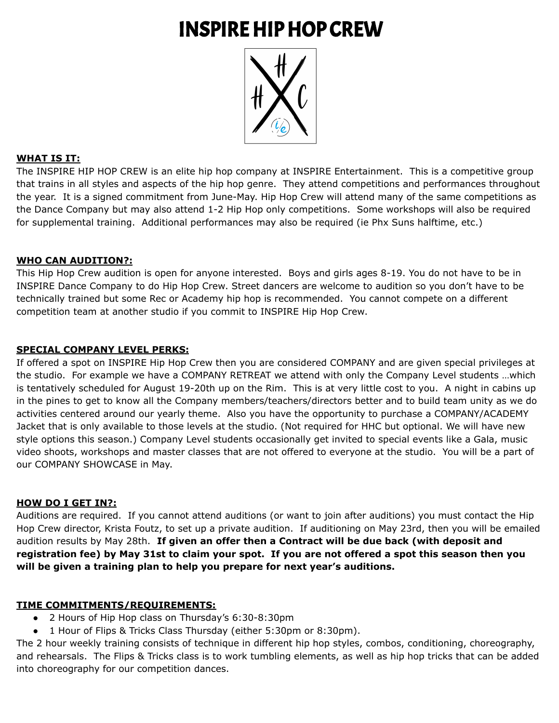# INSPIREHIPHOP CREW



# **WHAT IS IT:**

The INSPIRE HIP HOP CREW is an elite hip hop company at INSPIRE Entertainment. This is a competitive group that trains in all styles and aspects of the hip hop genre. They attend competitions and performances throughout the year. It is a signed commitment from June-May. Hip Hop Crew will attend many of the same competitions as the Dance Company but may also attend 1-2 Hip Hop only competitions. Some workshops will also be required for supplemental training. Additional performances may also be required (ie Phx Suns halftime, etc.)

# **WHO CAN AUDITION?:**

This Hip Hop Crew audition is open for anyone interested. Boys and girls ages 8-19. You do not have to be in INSPIRE Dance Company to do Hip Hop Crew. Street dancers are welcome to audition so you don't have to be technically trained but some Rec or Academy hip hop is recommended. You cannot compete on a different competition team at another studio if you commit to INSPIRE Hip Hop Crew.

# **SPECIAL COMPANY LEVEL PERKS:**

If offered a spot on INSPIRE Hip Hop Crew then you are considered COMPANY and are given special privileges at the studio. For example we have a COMPANY RETREAT we attend with only the Company Level students …which is tentatively scheduled for August 19-20th up on the Rim. This is at very little cost to you. A night in cabins up in the pines to get to know all the Company members/teachers/directors better and to build team unity as we do activities centered around our yearly theme. Also you have the opportunity to purchase a COMPANY/ACADEMY Jacket that is only available to those levels at the studio. (Not required for HHC but optional. We will have new style options this season.) Company Level students occasionally get invited to special events like a Gala, music video shoots, workshops and master classes that are not offered to everyone at the studio. You will be a part of our COMPANY SHOWCASE in May.

# **HOW DO I GET IN?:**

Auditions are required. If you cannot attend auditions (or want to join after auditions) you must contact the Hip Hop Crew director, Krista Foutz, to set up a private audition. If auditioning on May 23rd, then you will be emailed audition results by May 28th. **If given an offer then a Contract will be due back (with deposit and** registration fee) by May 31st to claim your spot. If you are not offered a spot this season then you **will be given a training plan to help you prepare for next year's auditions.**

# **TIME COMMITMENTS/REQUIREMENTS:**

- 2 Hours of Hip Hop class on Thursday's 6:30-8:30pm
- 1 Hour of Flips & Tricks Class Thursday (either 5:30pm or 8:30pm).

The 2 hour weekly training consists of technique in different hip hop styles, combos, conditioning, choreography, and rehearsals. The Flips & Tricks class is to work tumbling elements, as well as hip hop tricks that can be added into choreography for our competition dances.